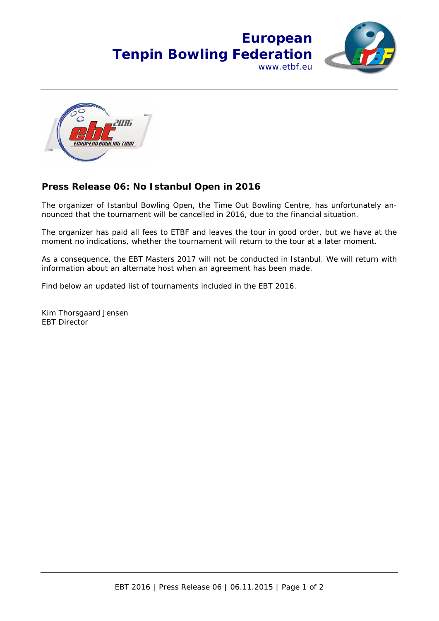



## **Press Release 06: No Istanbul Open in 2016**

The organizer of Istanbul Bowling Open, the Time Out Bowling Centre, has unfortunately announced that the tournament will be cancelled in 2016, due to the financial situation.

The organizer has paid all fees to ETBF and leaves the tour in good order, but we have at the moment no indications, whether the tournament will return to the tour at a later moment.

As a consequence, the EBT Masters 2017 will not be conducted in Istanbul. We will return with information about an alternate host when an agreement has been made.

Find below an updated list of tournaments included in the EBT 2016.

Kim Thorsgaard Jensen EBT Director